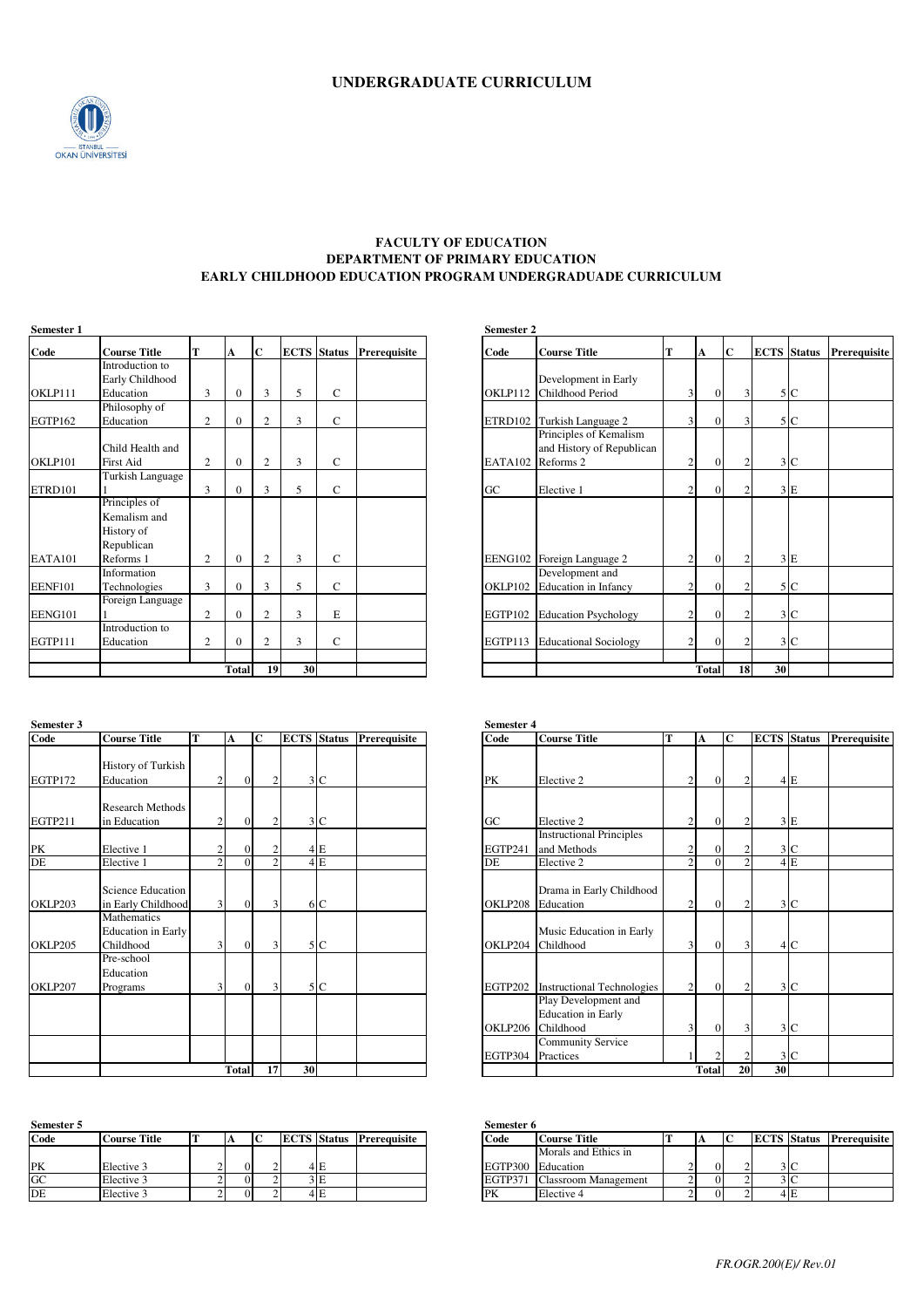

### **FACULTY OF EDUCATION DEPARTMENT OF PRIMARY EDUCATION EARLY CHILDHOOD EDUCATION PROGRAM UNDERGRADUADE CURRICULUM**

| Semester 1     |                     |   |              |                |    |                    |              | Semester 2 |                              |                |              |                             |  |
|----------------|---------------------|---|--------------|----------------|----|--------------------|--------------|------------|------------------------------|----------------|--------------|-----------------------------|--|
| Code           | <b>Course Title</b> | T | A            | $\mathbf{C}$   |    | <b>ECTS</b> Status | Prerequisite | Code       | <b>Course Title</b>          | T              | A            | $\mathbf C$                 |  |
|                | Introduction to     |   |              |                |    |                    |              |            |                              |                |              |                             |  |
|                | Early Childhood     |   |              |                |    |                    |              |            | Development in Early         |                |              |                             |  |
| OKLP111        | Education           | 3 | $\mathbf{0}$ | 3              | 5  | C                  |              | OKLP112    | Childhood Period             | 3              | $\Omega$     | 3 <sup>1</sup>              |  |
|                | Philosophy of       |   |              |                |    |                    |              |            |                              |                |              |                             |  |
| EGTP162        | Education           | 2 | $\Omega$     | $\overline{2}$ | 3  | C                  |              | ETRD102    | Turkish Language 2           | 3 <sup>1</sup> | $\Omega$     | $\overline{3}$              |  |
|                |                     |   |              |                |    |                    |              |            | Principles of Kemalism       |                |              |                             |  |
|                | Child Health and    |   |              |                |    |                    |              |            | and History of Republican    |                |              |                             |  |
| OKLP101        | First Aid           | 2 | $\mathbf{0}$ | 2              | 3  | C                  |              | EATA102    | Reforms 2                    | 2              | $\Omega$     | $\overline{c}$              |  |
|                | Turkish Language    |   |              |                |    |                    |              |            |                              |                |              |                             |  |
| ETRD101        |                     | 3 | $\Omega$     | 3              | 5  | $\mathsf{C}$       |              | GC         | Elective 1                   | $\overline{c}$ | $\Omega$     | $\mathcal{D}_{\mathcal{A}}$ |  |
|                | Principles of       |   |              |                |    |                    |              |            |                              |                |              |                             |  |
|                | Kemalism and        |   |              |                |    |                    |              |            |                              |                |              |                             |  |
|                | History of          |   |              |                |    |                    |              |            |                              |                |              |                             |  |
|                | Republican          |   |              |                |    |                    |              |            |                              |                |              |                             |  |
| EATA101        | Reforms 1           | 2 | $\mathbf{0}$ | $\overline{2}$ | 3  | C                  |              |            | EENG102 Foreign Language 2   | $\overline{c}$ | $\Omega$     |                             |  |
|                | Information         |   |              |                |    |                    |              |            | Development and              |                |              |                             |  |
| <b>EENF101</b> | Technologies        | 3 | $\mathbf{0}$ | 3              | 5  | $\mathsf{C}$       |              | OKLP102    | <b>Education</b> in Infancy  | 2              | $\Omega$     | $\overline{c}$              |  |
|                | Foreign Language    |   |              |                |    |                    |              |            |                              |                |              |                             |  |
| EENG101        |                     | 2 | $\mathbf{0}$ | $\overline{2}$ | 3  | E                  |              | EGTP102    | <b>Education Psychology</b>  | 2              | $\Omega$     |                             |  |
|                | Introduction to     |   |              |                |    |                    |              |            |                              |                |              |                             |  |
| EGTP111        | Education           | 2 | $\mathbf{0}$ | $\overline{2}$ | 3  | C                  |              | EGTP113    | <b>Educational Sociology</b> | $\overline{2}$ | $\Omega$     | $\overline{c}$              |  |
|                |                     |   |              |                |    |                    |              |            |                              |                |              |                             |  |
|                |                     |   | <b>Total</b> | 19             | 30 |                    |              |            |                              |                | <b>Total</b> | 18                          |  |

| Semester 3 |                           |   |                |                |                |    |                    |              | <b>Semester 4</b> |                                   |                         |              |                |               |
|------------|---------------------------|---|----------------|----------------|----------------|----|--------------------|--------------|-------------------|-----------------------------------|-------------------------|--------------|----------------|---------------|
| Code       | <b>Course Title</b>       | T |                | A              | $\mathbf C$    |    | <b>ECTS</b> Status | Prerequisite | Code              | <b>Course Title</b>               | T                       | A            | $\mathbf C$    | <b>ECTS</b> S |
|            | <b>History of Turkish</b> |   |                |                |                |    |                    |              |                   |                                   |                         |              |                |               |
|            |                           |   |                |                |                |    |                    |              |                   |                                   |                         | $\Omega$     |                |               |
| EGTP172    | Education                 |   | $\overline{c}$ | $\Omega$       | $\overline{2}$ |    | 3 <sup>C</sup>     |              | PК                | Elective 2                        | 2                       |              | 2              |               |
|            | Research Methods          |   |                |                |                |    |                    |              |                   |                                   |                         |              |                |               |
| EGTP211    | in Education              |   | $\overline{c}$ | $\Omega$       | $\overline{c}$ |    | 3 <sup>c</sup>     |              | G <sub>C</sub>    | Elective 2                        | 2                       | $\Omega$     | 2              |               |
|            |                           |   |                |                |                |    |                    |              |                   | <b>Instructional Principles</b>   |                         |              |                |               |
| PK         | Elective 1                |   | $\overline{c}$ | $\Omega$       | $\overline{2}$ |    | 4E                 |              | EGTP241           | and Methods                       | $\overline{\mathbf{c}}$ | $\Omega$     | 2              |               |
| DE         | Elective 1                |   | $\overline{2}$ | $\Omega$       | $\overline{2}$ |    | 4E                 |              | DE                | Elective 2                        | $\overline{2}$          | $\Omega$     | $\overline{c}$ |               |
|            |                           |   |                |                |                |    |                    |              |                   |                                   |                         |              |                |               |
|            | <b>Science Education</b>  |   |                |                |                |    |                    |              |                   | Drama in Early Childhood          |                         |              |                |               |
| OKLP203    | in Early Childhood        |   | $\overline{3}$ | $\overline{0}$ | $\overline{3}$ |    | 6 C                |              | OKLP208           | Education                         | 2                       | $\Omega$     | 2              |               |
|            | Mathematics               |   |                |                |                |    |                    |              |                   |                                   |                         |              |                |               |
|            | <b>Education</b> in Early |   |                |                |                |    |                    |              |                   | Music Education in Early          |                         |              |                |               |
| OKLP205    | Childhood                 |   | 3              | $\Omega$       | 3              |    | 5 C                |              | OKLP204           | Childhood                         | 3                       | $\Omega$     | $\overline{3}$ |               |
|            | Pre-school                |   |                |                |                |    |                    |              |                   |                                   |                         |              |                |               |
|            | Education                 |   |                |                |                |    |                    |              |                   |                                   |                         |              |                |               |
| OKLP207    | Programs                  |   | 3 <sub>1</sub> | $\Omega$       | 3              |    | 5 C                |              | EGTP202           | <b>Instructional Technologies</b> | 2                       | $\Omega$     | 2              |               |
|            |                           |   |                |                |                |    |                    |              |                   | Play Development and              |                         |              |                |               |
|            |                           |   |                |                |                |    |                    |              |                   | <b>Education</b> in Early         |                         |              |                |               |
|            |                           |   |                |                |                |    |                    |              | OKLP206           | Childhood                         | 3                       | $\Omega$     | 3              |               |
|            |                           |   |                |                |                |    |                    |              |                   | <b>Community Service</b>          |                         |              |                |               |
|            |                           |   |                |                |                |    |                    |              | EGTP304           | Practices                         |                         |              | 2              |               |
|            |                           |   |                | <b>Total</b>   | 17             | 30 |                    |              |                   |                                   |                         | <b>Total</b> | 20             | 30            |

| Semester 5 |                     |  |  |     |                                        | Semester 6        |                      |  |               |     |
|------------|---------------------|--|--|-----|----------------------------------------|-------------------|----------------------|--|---------------|-----|
| Code       | <b>Course Title</b> |  |  |     | <b>ECTS</b> Status <b>Prerequisite</b> | Code              | <b>Course Title</b>  |  | <b>ECTS</b> S |     |
|            |                     |  |  |     |                                        |                   | Morals and Ethics in |  |               |     |
| PK         | Elective 3          |  |  | 4 E |                                        | EGTP300 Education |                      |  |               | 3 C |
| <b>GC</b>  | Elective 3          |  |  | 3 E |                                        | <b>EGTP371</b>    | Classroom Management |  |               | 3 C |
| <b>IDE</b> | Elective 3          |  |  | 4 E |                                        | PK                | Elective 4           |  |               | 4 F |

| Semester 1     |                     |   |              |                |    |              |                                 | Semester 2 |                              |                         |                |                         |                    |                |              |
|----------------|---------------------|---|--------------|----------------|----|--------------|---------------------------------|------------|------------------------------|-------------------------|----------------|-------------------------|--------------------|----------------|--------------|
| Code           | <b>Course Title</b> | т | A            | $\mathbf C$    |    |              | <b>ECTS</b> Status Prerequisite | Code       | <b>Course Title</b>          | T                       | $\mathbf{A}$   | $\overline{\mathbf{C}}$ | <b>ECTS</b> Status |                | Prerequisite |
|                | Introduction to     |   |              |                |    |              |                                 |            |                              |                         |                |                         |                    |                |              |
|                | Early Childhood     |   |              |                |    |              |                                 |            | Development in Early         |                         |                |                         |                    |                |              |
| OKLP111        | Education           | 3 | $\Omega$     | $\overline{3}$ | 5  | C            |                                 | OKLP112    | Childhood Period             | $\overline{\mathbf{3}}$ | $\overline{0}$ |                         |                    | 5 C            |              |
|                | Philosophy of       |   |              |                |    |              |                                 |            |                              |                         |                |                         |                    |                |              |
| EGTP162        | Education           | 2 | $\Omega$     | 2              | 3  | C            |                                 | ETRD102    | Turkish Language 2           | $\overline{3}$          | $\overline{0}$ |                         |                    | 5 C            |              |
|                |                     |   |              |                |    |              |                                 |            | Principles of Kemalism       |                         |                |                         |                    |                |              |
|                | Child Health and    |   |              |                |    |              |                                 |            | and History of Republican    |                         |                |                         |                    |                |              |
| OKLP101        | <b>First Aid</b>    | 2 | $\Omega$     | $\overline{2}$ | 3  | C            |                                 | EATA102    | Reforms 2                    | $\overline{2}$          | $\Omega$       |                         |                    | 3 <sup>C</sup> |              |
|                | Turkish Language    |   |              |                |    |              |                                 |            |                              |                         |                |                         |                    |                |              |
| ETRD101        |                     | 3 |              | 3              | 5  | C            |                                 | GC         | Elective 1                   | 2                       | $\Omega$       |                         |                    | 3E             |              |
|                | Principles of       |   |              |                |    |              |                                 |            |                              |                         |                |                         |                    |                |              |
|                | Kemalism and        |   |              |                |    |              |                                 |            |                              |                         |                |                         |                    |                |              |
|                | History of          |   |              |                |    |              |                                 |            |                              |                         |                |                         |                    |                |              |
|                | Republican          |   |              |                |    |              |                                 |            |                              |                         |                |                         |                    |                |              |
| EATA101        | Reforms 1           | 2 | $\mathbf{0}$ | 2              | 3  | $\mathsf{C}$ |                                 |            | EENG102 Foreign Language 2   | $\overline{c}$          | $\Omega$       |                         |                    | 3E             |              |
|                | Information         |   |              |                |    |              |                                 |            | Development and              |                         |                |                         |                    |                |              |
| <b>EENF101</b> | Technologies        | 3 | $\mathbf{0}$ | 3              | 5  | C            |                                 | OKLP102    | <b>Education</b> in Infancy  | $\overline{c}$          | $\mathbf{0}$   |                         |                    | 5 C            |              |
|                | Foreign Language    |   |              |                |    |              |                                 |            |                              |                         |                |                         |                    |                |              |
| EENG101        |                     | 2 | $\Omega$     | 2              | 3  | E            |                                 | EGTP102    | <b>Education Psychology</b>  | $\overline{c}$          | $\mathbf{0}$   |                         |                    | 3 <sup>C</sup> |              |
|                | Introduction to     |   |              |                |    |              |                                 |            |                              |                         |                |                         |                    |                |              |
| EGTP111        | Education           | 2 | $\Omega$     | $\overline{2}$ | 3  | C            |                                 | EGTP113    | <b>Educational Sociology</b> | $\overline{2}$          | $\Omega$       |                         |                    | 3 <sup>C</sup> |              |
|                |                     |   |              |                |    |              |                                 |            |                              |                         |                |                         |                    |                |              |
|                |                     |   | <b>Total</b> | 19             | 30 |              |                                 |            |                              |                         | <b>Total</b>   | 18                      | 30                 |                |              |

| Semester 3          |                           |   |                |                |                |                |                                 | <b>Semester 4</b> |                                   |                |                |                             |                    |                |              |
|---------------------|---------------------------|---|----------------|----------------|----------------|----------------|---------------------------------|-------------------|-----------------------------------|----------------|----------------|-----------------------------|--------------------|----------------|--------------|
| Code                | <b>Course Title</b>       | т | А              | $\mathbf C$    |                |                | <b>ECTS</b> Status Prerequisite | Code              | <b>Course Title</b>               |                | A              | $\mathbf C$                 | <b>ECTS</b> Status |                | Prerequisite |
|                     |                           |   |                |                |                |                |                                 |                   |                                   |                |                |                             |                    |                |              |
|                     | <b>History of Turkish</b> |   |                |                |                |                |                                 |                   |                                   |                |                |                             |                    |                |              |
| EGTP172             | Education                 |   | $\mathfrak{D}$ | $\overline{0}$ | 2              | 3 <sup>C</sup> |                                 | PK                | Elective 2                        | 2              | $\overline{0}$ | 2                           |                    | 4E             |              |
|                     |                           |   |                |                |                |                |                                 |                   |                                   |                |                |                             |                    |                |              |
|                     | <b>Research Methods</b>   |   |                |                |                |                |                                 |                   |                                   |                |                |                             |                    |                |              |
| EGTP211             | in Education              |   | $\overline{2}$ | $\Omega$       | 2              | 3 <sup>C</sup> |                                 | G <sub>C</sub>    | Elective 2                        | $\overline{c}$ | $\Omega$       | $\mathcal{D}_{\mathcal{L}}$ |                    | 3 E            |              |
|                     |                           |   |                |                |                |                |                                 |                   | <b>Instructional Principles</b>   |                |                |                             |                    |                |              |
| PK                  | Elective 1                |   | ◠              | $\overline{0}$ | $\overline{2}$ | $4 \text{E}$   |                                 | EGTP241           | and Methods                       | $\overline{c}$ | $\mathbf{0}$   |                             |                    | 3 <sup>C</sup> |              |
| $\overline{\rm DE}$ | Elective 1                |   | $\mathcal{L}$  | $\Omega$       | $\overline{c}$ | 4E             |                                 | DE                | Elective 2                        | $\overline{2}$ | $\Omega$       | C                           |                    | 4E             |              |
|                     |                           |   |                |                |                |                |                                 |                   |                                   |                |                |                             |                    |                |              |
|                     | Science Education         |   |                |                |                |                |                                 |                   | Drama in Early Childhood          |                |                |                             |                    |                |              |
| OKLP203             | in Early Childhood        |   | $\overline{3}$ | $\Omega$       | 3              | 6 C            |                                 | OKLP208           | Education                         | 2              | $\Omega$       | $\mathcal{D}$               |                    | 3 <sub>C</sub> |              |
|                     | Mathematics               |   |                |                |                |                |                                 |                   |                                   |                |                |                             |                    |                |              |
|                     | <b>Education</b> in Early |   |                |                |                |                |                                 |                   | Music Education in Early          |                |                |                             |                    |                |              |
| OKLP205             | Childhood                 |   | $\overline{3}$ | $\overline{0}$ | 3              | 5 C            |                                 | OKLP204           | Childhood                         | $\overline{3}$ | $\overline{0}$ | 31                          |                    | 4 C            |              |
|                     | Pre-school                |   |                |                |                |                |                                 |                   |                                   |                |                |                             |                    |                |              |
|                     | Education                 |   |                |                |                |                |                                 |                   |                                   |                |                |                             |                    |                |              |
| OKLP207             | Programs                  |   | $\overline{3}$ | $\Omega$       | 3              | 5 C            |                                 | EGTP202           | <b>Instructional Technologies</b> | $\overline{2}$ | $\overline{0}$ | C                           |                    | 3 <sub>C</sub> |              |
|                     |                           |   |                |                |                |                |                                 |                   | Play Development and              |                |                |                             |                    |                |              |
|                     |                           |   |                |                |                |                |                                 |                   | <b>Education</b> in Early         |                |                |                             |                    |                |              |
|                     |                           |   |                |                |                |                |                                 | OKLP206           | Childhood                         | 3              | $\overline{0}$ | 3                           |                    | 3 <sub>C</sub> |              |
|                     |                           |   |                |                |                |                |                                 |                   | <b>Community Service</b>          |                |                |                             |                    |                |              |
|                     |                           |   |                |                |                |                |                                 | EGTP304           | Practices                         |                | 2              |                             |                    | 3 <sub>C</sub> |              |
|                     |                           |   | <b>Total</b>   | 17             | 30             |                |                                 |                   |                                   |                | <b>Total</b>   | 20                          | 30                 |                |              |

| Semester 5 |                     |                |  |                    |              | Semester 6 |                                     |          |  |     |                                 |
|------------|---------------------|----------------|--|--------------------|--------------|------------|-------------------------------------|----------|--|-----|---------------------------------|
| Code       | <b>Course Title</b> |                |  | <b>ECTS</b> Status | Prerequisite | Code       | Course Title                        |          |  |     | <b>ECTS Status Prerequisite</b> |
|            |                     |                |  |                    |              |            | Morals and Ethics in                |          |  |     |                                 |
| PК         | Elective 3          | $\Omega$       |  | 4 E                |              |            | EGTP300 Education                   | $\Omega$ |  | 3C  |                                 |
| GC         | Elective 3          |                |  | 3 I E              |              |            | <b>EGTP371</b> Classroom Management |          |  | 3 C |                                 |
| DE         | Elective 3          | $\overline{0}$ |  | 4E                 |              | PK         | Elective 4                          |          |  | 4 E |                                 |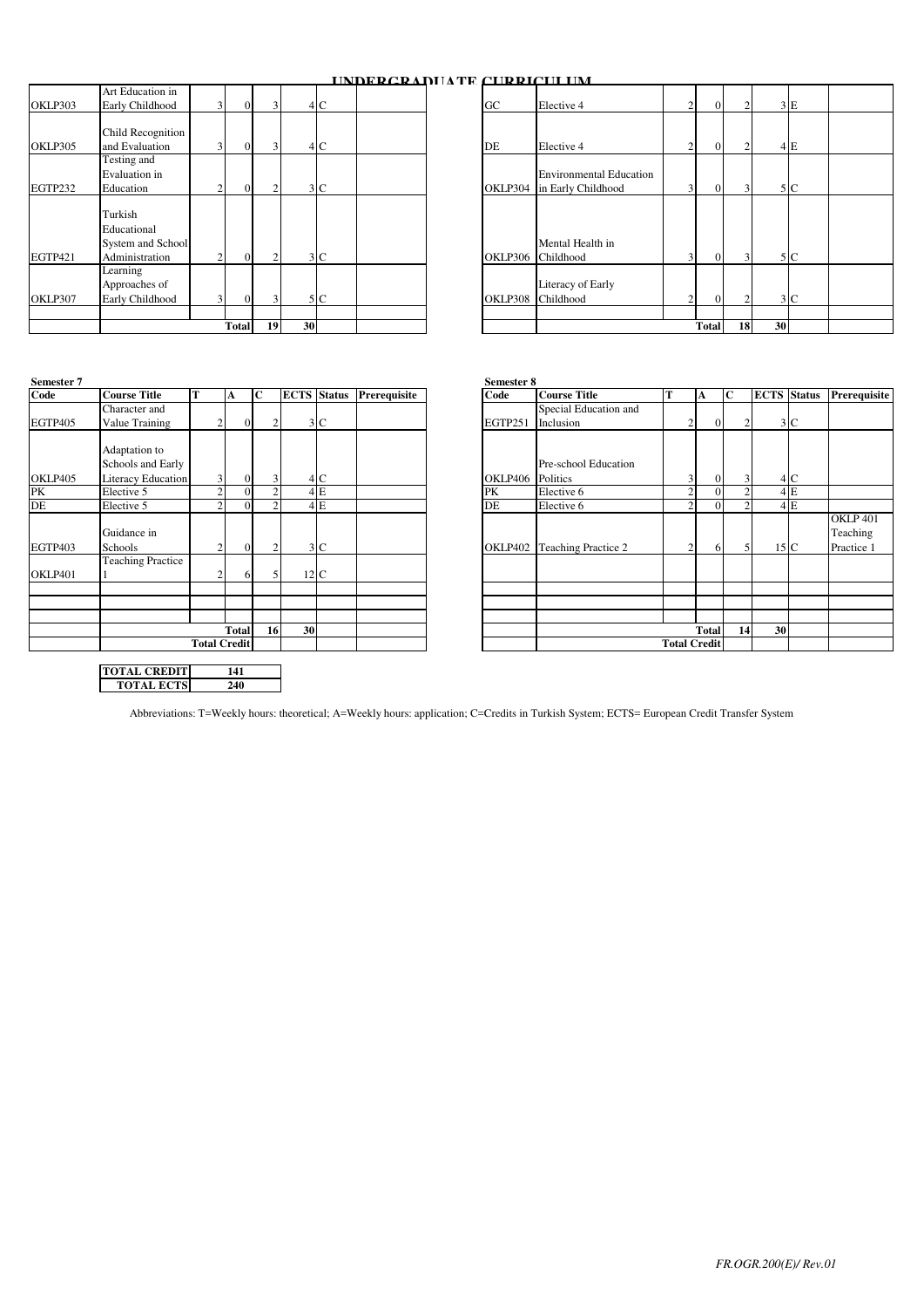# **UNDERGRADUATE CURRICULUM**

| Art Education in<br>OKLP303<br>4 C<br>GC<br>Elective 4<br>Early Childhood<br>$\Omega$<br>2<br>$\Omega$<br>$\overline{2}$<br>$\overline{\mathbf{3}}$<br>Р<br>Child Recognition<br>4 C<br>OKLP305<br>and Evaluation<br>DE<br>2<br>$\overline{0}$<br>Elective 4<br>$\Omega$<br>2<br>$\overline{\mathbf{3}}$<br>Testing and<br>Evaluation in<br><b>Environmental Education</b><br>EGTP232<br>3C<br>$\Omega$<br>OKLP304<br>in Early Childhood<br>$\overline{3}$<br>$\Omega$<br>3<br>Education<br>Turkish<br>Educational<br>Mental Health in<br>System and School<br><b>EGTP421</b><br>Administration<br>3 C<br>3<br>$\Omega$<br>OKLP306 Childhood<br>3<br>$\Omega$<br>n<br>Learning<br>Literacy of Early<br>Approaches of<br>Early Childhood<br>5 C<br>Childhood<br>OKLP307<br>$\overline{0}$<br>3<br>OKLP308<br>2<br>$\Omega$<br>$\overline{2}$<br>$\overline{3}$ |
|---------------------------------------------------------------------------------------------------------------------------------------------------------------------------------------------------------------------------------------------------------------------------------------------------------------------------------------------------------------------------------------------------------------------------------------------------------------------------------------------------------------------------------------------------------------------------------------------------------------------------------------------------------------------------------------------------------------------------------------------------------------------------------------------------------------------------------------------------------------|
|                                                                                                                                                                                                                                                                                                                                                                                                                                                                                                                                                                                                                                                                                                                                                                                                                                                               |
|                                                                                                                                                                                                                                                                                                                                                                                                                                                                                                                                                                                                                                                                                                                                                                                                                                                               |
|                                                                                                                                                                                                                                                                                                                                                                                                                                                                                                                                                                                                                                                                                                                                                                                                                                                               |
|                                                                                                                                                                                                                                                                                                                                                                                                                                                                                                                                                                                                                                                                                                                                                                                                                                                               |
|                                                                                                                                                                                                                                                                                                                                                                                                                                                                                                                                                                                                                                                                                                                                                                                                                                                               |
|                                                                                                                                                                                                                                                                                                                                                                                                                                                                                                                                                                                                                                                                                                                                                                                                                                                               |

| $\overline{0}$ | $\overline{3}$ |    | 4C             |  | $G_{\rm C}$ | Elective 4                                           | $\overline{2}$ | $\overline{0}$ | $\overline{2}$ |    | 3 E            |  |
|----------------|----------------|----|----------------|--|-------------|------------------------------------------------------|----------------|----------------|----------------|----|----------------|--|
|                |                |    |                |  |             |                                                      |                |                |                |    |                |  |
| $\overline{0}$ | $\overline{3}$ |    | 4 C            |  | DE          | Elective 4                                           | $\overline{c}$ | $\Omega$       | $\overline{2}$ |    | 4 E            |  |
| $\mathbf{0}$   | 2              |    | 3 <sup>C</sup> |  | OKLP304     | <b>Environmental Education</b><br>in Early Childhood | $\overline{3}$ | $\overline{0}$ | 3              |    | 5 C            |  |
| $\overline{0}$ | $\overline{2}$ |    | 3 <sup>C</sup> |  | OKLP306     | Mental Health in<br>Childhood                        | 3 <sub>1</sub> | $\Omega$       | $\overline{3}$ |    | 5 C            |  |
| $\Omega$       | $\overline{3}$ |    | 5 C            |  | OKLP308     | Literacy of Early<br>Childhood                       | $\overline{2}$ | $\Omega$       | 2              |    | 3 <sup>C</sup> |  |
| <b>Total</b>   | 19             | 30 |                |  |             |                                                      |                | <b>Total</b>   | 18             | 30 |                |  |

| Semester 7 |                                                    |   |                     |                                  |    |                |                                 | Semester 8 |                            |                     |              |                |                 |                  |
|------------|----------------------------------------------------|---|---------------------|----------------------------------|----|----------------|---------------------------------|------------|----------------------------|---------------------|--------------|----------------|-----------------|------------------|
| Code       | <b>Course Title</b>                                | T | A                   | C                                |    |                | <b>ECTS Status Prerequisite</b> | Code       | <b>Course Title</b>        | т                   | A            | $\mathbf C$    | <b>ECTS</b>     |                  |
|            | Character and                                      |   |                     |                                  |    |                |                                 |            | Special Education and      |                     |              |                |                 |                  |
| EGTP405    | Value Training                                     |   | ◠                   | $\overline{0}$<br>$\overline{c}$ |    | 3 <sup>C</sup> |                                 | EGTP251    | Inclusion                  | 2                   | $\Omega$     | $\overline{c}$ |                 | 3 <sup>1</sup>   |
|            | Adaptation to<br>Schools and Early                 |   |                     |                                  |    |                |                                 |            | Pre-school Education       |                     |              |                |                 |                  |
| OKLP405    | <b>Literacy Education</b>                          |   | 3                   | $\Omega$<br>3                    |    | 4 <sub>C</sub> |                                 | OKLP406    | Politics                   | 3                   | $\Omega$     | 3              |                 | $\overline{4}$ C |
| PK         | Elective 5                                         |   |                     | 0                                |    | 4E             |                                 | PK         | Elective 6                 | $\overline{2}$      |              | 2              |                 | 4E               |
| DE         | Elective 5                                         |   | Δ                   | $\Omega$<br>$\mathfrak{D}$       |    | 4E             |                                 | DE         | Elective 6                 | $\overline{2}$      | $\Omega$     | 2              |                 | 4E               |
| EGTP403    | Guidance in<br>Schools<br><b>Teaching Practice</b> |   | $\overline{c}$      | $\overline{0}$<br>2              |    | 3 <sup>C</sup> |                                 | OKLP402    | <b>Teaching Practice 2</b> | $\overline{c}$      | 6            | 5 <sup>1</sup> | 15 <sub>c</sub> |                  |
| OKLP401    |                                                    |   | h                   | 5<br>6                           |    | $12\ C$        |                                 |            |                            |                     |              |                |                 |                  |
|            |                                                    |   |                     |                                  |    |                |                                 |            |                            |                     |              |                |                 |                  |
|            |                                                    |   | <b>Total</b>        | 16                               | 30 |                |                                 |            |                            |                     | <b>Total</b> | 14             | 30              |                  |
|            |                                                    |   | <b>Total Credit</b> |                                  |    |                |                                 |            |                            | <b>Total Credit</b> |              |                |                 |                  |
|            | <b>TOTAL CREDIT</b>                                |   | 141                 |                                  |    |                |                                 |            |                            |                     |              |                |                 |                  |

**240**

**TOTAL ECTS**

| <b>Course Title</b>      | т | A                         |                |                |                                          |           |                                                                                | Code                                   | <b>Course Title</b>   |                                                                      |                |   |                                                                                                             |    | Prerequisite                                                            |
|--------------------------|---|---------------------------|----------------|----------------|------------------------------------------|-----------|--------------------------------------------------------------------------------|----------------------------------------|-----------------------|----------------------------------------------------------------------|----------------|---|-------------------------------------------------------------------------------------------------------------|----|-------------------------------------------------------------------------|
| Character and            |   |                           |                |                |                                          |           |                                                                                |                                        | Special Education and |                                                                      |                |   |                                                                                                             |    |                                                                         |
| Value Training           |   |                           | $\Omega$       | $\mathfrak{D}$ |                                          |           |                                                                                | EGTP251                                | Inclusion             |                                                                      |                |   |                                                                                                             |    |                                                                         |
|                          |   |                           |                |                |                                          |           |                                                                                |                                        |                       |                                                                      |                |   |                                                                                                             |    |                                                                         |
| Adaptation to            |   |                           |                |                |                                          |           |                                                                                |                                        |                       |                                                                      |                |   |                                                                                                             |    |                                                                         |
| Schools and Early        |   |                           |                |                |                                          |           |                                                                                |                                        | Pre-school Education  |                                                                      |                |   |                                                                                                             |    |                                                                         |
|                          |   | $\overline{3}$            | $\Omega$       | 3              |                                          |           |                                                                                |                                        |                       |                                                                      | 31             |   |                                                                                                             |    |                                                                         |
| Elective 5               |   | $\sim$                    | 0              |                |                                          |           |                                                                                | PK                                     | Elective 6            |                                                                      |                |   |                                                                                                             |    |                                                                         |
| Elective 5               |   |                           | 0              |                |                                          |           |                                                                                | DE                                     | Elective 6            |                                                                      |                |   |                                                                                                             |    |                                                                         |
|                          |   |                           |                |                |                                          |           |                                                                                |                                        |                       |                                                                      |                |   |                                                                                                             |    | <b>OKLP 401</b>                                                         |
| Guidance in              |   |                           |                |                |                                          |           |                                                                                |                                        |                       |                                                                      |                |   |                                                                                                             |    | Teaching                                                                |
| Schools                  |   |                           | $\overline{0}$ | $\overline{c}$ |                                          |           |                                                                                |                                        |                       |                                                                      | $\overline{2}$ |   |                                                                                                             |    | Practice 1                                                              |
| <b>Teaching Practice</b> |   |                           |                |                |                                          |           |                                                                                |                                        |                       |                                                                      |                |   |                                                                                                             |    |                                                                         |
|                          |   |                           | 6              | 5              |                                          |           |                                                                                |                                        |                       |                                                                      |                |   |                                                                                                             |    |                                                                         |
|                          |   |                           |                |                |                                          |           |                                                                                |                                        |                       |                                                                      |                |   |                                                                                                             |    |                                                                         |
|                          |   |                           |                |                |                                          |           |                                                                                |                                        |                       |                                                                      |                |   |                                                                                                             |    |                                                                         |
|                          |   |                           |                |                |                                          |           |                                                                                |                                        |                       |                                                                      |                |   |                                                                                                             |    |                                                                         |
|                          |   |                           |                |                |                                          |           |                                                                                |                                        |                       |                                                                      |                |   |                                                                                                             |    |                                                                         |
|                          |   |                           |                |                |                                          |           |                                                                                |                                        |                       |                                                                      |                |   |                                                                                                             |    |                                                                         |
|                          |   | <b>Literacy Education</b> |                |                | C<br><b>Total</b><br><b>Total Credit</b> | <b>16</b> | 3 C<br>4C<br>4E<br>4 E<br>3 <sub>C</sub><br>12 <sub>C</sub><br>30 <sup>1</sup> | <b>ECTS</b> Status <b>Prerequisite</b> |                       | Semester 8<br>OKLP406 Politics<br><b>OKLP402</b> Teaching Practice 2 |                | A | IС<br>$\overline{0}$<br>$\overline{0}$<br>$\Omega$<br>$\Omega$<br>61<br><b>Total</b><br><b>Total Credit</b> | 14 | <b>ECTS</b> Status<br>3 C<br>4 C<br>4 E<br>4 E<br>15 <sub>C</sub><br>30 |

Abbreviations: T=Weekly hours: theoretical; A=Weekly hours: application; C=Credits in Turkish System; ECTS= European Credit Transfer System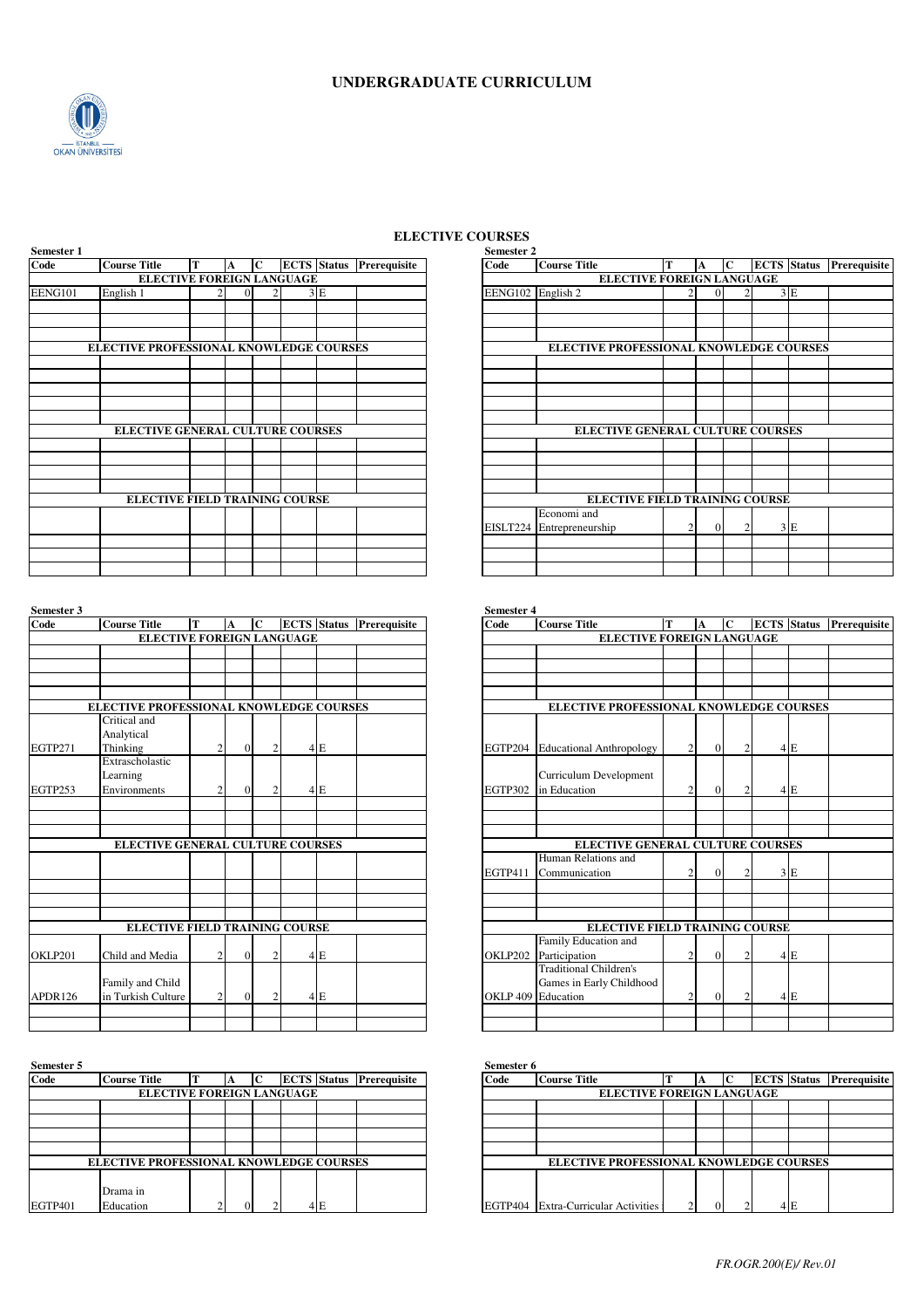

## **ELECTIVE COURSES**

| Semester 1 |                                         |                           |   |             |    |                                        | Semester 2        |                                        |   |          |             |             |
|------------|-----------------------------------------|---------------------------|---|-------------|----|----------------------------------------|-------------------|----------------------------------------|---|----------|-------------|-------------|
| Code       | <b>Course Title</b>                     | т                         | A | $\mathbf C$ |    | <b>ECTS</b> Status <b>Prerequisite</b> | Code              | <b>Course Title</b>                    | т | A        | $\mathbf C$ | <b>ECTS</b> |
|            |                                         | ELECTIVE FOREIGN LANGUAGE |   |             |    |                                        |                   | ELECTIVE FOREIGN LANGUAGE              |   |          |             |             |
| EENG101    | English 1                               |                           |   | $\Omega$    | 3E |                                        | EENG102 English 2 |                                        |   | $\Omega$ |             |             |
|            |                                         |                           |   |             |    |                                        |                   |                                        |   |          |             |             |
|            |                                         |                           |   |             |    |                                        |                   |                                        |   |          |             |             |
|            | ELECTIVE PROFESSIONAL KNOWLEDGE COURSES |                           |   |             |    |                                        |                   | ELECTIVE PROFESSIONAL KNOWLEDGE CO     |   |          |             |             |
|            |                                         |                           |   |             |    |                                        |                   |                                        |   |          |             |             |
|            |                                         |                           |   |             |    |                                        |                   |                                        |   |          |             |             |
|            |                                         |                           |   |             |    |                                        |                   |                                        |   |          |             |             |
|            |                                         |                           |   |             |    |                                        |                   |                                        |   |          |             |             |
|            | ELECTIVE GENERAL CULTURE COURSES        |                           |   |             |    |                                        |                   | <b>ELECTIVE GENERAL CULTURE COURSE</b> |   |          |             |             |
|            |                                         |                           |   |             |    |                                        |                   |                                        |   |          |             |             |
|            |                                         |                           |   |             |    |                                        |                   |                                        |   |          |             |             |
|            |                                         |                           |   |             |    |                                        |                   |                                        |   |          |             |             |
|            |                                         |                           |   |             |    |                                        |                   |                                        |   |          |             |             |
|            | <b>ELECTIVE FIELD TRAINING COURSE</b>   |                           |   |             |    |                                        |                   | <b>ELECTIVE FIELD TRAINING COURSE</b>  |   |          |             |             |
|            |                                         |                           |   |             |    |                                        | EISLT224          | Economi and<br>Entrepreneurship        | 2 | $\Omega$ |             |             |
|            |                                         |                           |   |             |    |                                        |                   |                                        |   |          |             |             |
|            |                                         |                           |   |             |    |                                        |                   |                                        |   |          |             |             |
|            |                                         |                           |   |             |    |                                        |                   |                                        |   |          |             |             |

| Semester 3     |                                         |                |          |                |    |                                 | <b>Semester 4</b>  |                                       |                |          |                |             |                  |
|----------------|-----------------------------------------|----------------|----------|----------------|----|---------------------------------|--------------------|---------------------------------------|----------------|----------|----------------|-------------|------------------|
| Code           | <b>Course Title</b>                     | T              | A        | $\mathbf C$    |    | <b>ECTS</b> Status Prerequisite | Code               | <b>Course Title</b>                   | T              | A        | $\mathbf C$    | <b>ECTS</b> |                  |
|                | ELECTIVE FOREIGN LANGUAGE               |                |          |                |    |                                 |                    | <b>ELECTIVE FOREIGN LANGUAGE</b>      |                |          |                |             |                  |
|                |                                         |                |          |                |    |                                 |                    |                                       |                |          |                |             |                  |
|                |                                         |                |          |                |    |                                 |                    |                                       |                |          |                |             |                  |
|                |                                         |                |          |                |    |                                 |                    |                                       |                |          |                |             |                  |
|                |                                         |                |          |                |    |                                 |                    |                                       |                |          |                |             |                  |
|                | ELECTIVE PROFESSIONAL KNOWLEDGE COURSES |                |          |                |    |                                 |                    | ELECTIVE PROFESSIONAL KNOWLEDGE CO    |                |          |                |             |                  |
|                | Critical and                            |                |          |                |    |                                 |                    |                                       |                |          |                |             |                  |
|                | Analytical                              |                |          |                |    |                                 |                    |                                       |                |          |                |             |                  |
| <b>EGTP271</b> | Thinking                                | $\overline{c}$ | $\Omega$ | $\overline{c}$ | 4E |                                 |                    | EGTP204 Educational Anthropology      | $\overline{c}$ | $\Omega$ | $\overline{c}$ |             | $4$ E            |
|                | Extrascholastic                         |                |          |                |    |                                 |                    |                                       |                |          |                |             |                  |
|                | Learning                                |                |          |                |    |                                 |                    | Curriculum Development                |                |          |                |             |                  |
| EGTP253        | Environments                            | $\overline{2}$ | $\Omega$ | 2              | 4E |                                 | <b>EGTP302</b>     | in Education                          | 2              | $\Omega$ | $\overline{2}$ |             | 4 E              |
|                |                                         |                |          |                |    |                                 |                    |                                       |                |          |                |             |                  |
|                |                                         |                |          |                |    |                                 |                    |                                       |                |          |                |             |                  |
|                |                                         |                |          |                |    |                                 |                    |                                       |                |          |                |             |                  |
|                | ELECTIVE GENERAL CULTURE COURSES        |                |          |                |    |                                 |                    | ELECTIVE GENERAL CULTURE COURSE       |                |          |                |             |                  |
|                |                                         |                |          |                |    |                                 |                    | Human Relations and                   |                |          |                |             |                  |
|                |                                         |                |          |                |    |                                 | EGTP411            | Communication                         | $\overline{2}$ | $\Omega$ | $\overline{c}$ |             | 3E               |
|                |                                         |                |          |                |    |                                 |                    |                                       |                |          |                |             |                  |
|                |                                         |                |          |                |    |                                 |                    |                                       |                |          |                |             |                  |
|                |                                         |                |          |                |    |                                 |                    |                                       |                |          |                |             |                  |
|                | <b>ELECTIVE FIELD TRAINING COURSE</b>   |                |          |                |    |                                 |                    | <b>ELECTIVE FIELD TRAINING COURSE</b> |                |          |                |             |                  |
|                |                                         |                |          |                |    |                                 |                    | Family Education and                  |                |          |                |             |                  |
| OKLP201        | Child and Media                         | $\overline{c}$ | $\Omega$ | 2              | 4E |                                 | OKLP202            | Participation                         | 2              | $\Omega$ | $\overline{c}$ |             | $4$ <sub>E</sub> |
|                |                                         |                |          |                |    |                                 |                    | <b>Traditional Children's</b>         |                |          |                |             |                  |
|                | Family and Child                        |                |          |                |    |                                 |                    | Games in Early Childhood              |                |          |                |             |                  |
| APDR126        | in Turkish Culture                      | $\overline{2}$ | $\Omega$ | $\overline{c}$ | 4E |                                 | OKLP 409 Education |                                       | 2              | $\Omega$ | $\overline{c}$ |             | $4$ <sub>E</sub> |
|                |                                         |                |          |                |    |                                 |                    |                                       |                |          |                |             |                  |
|                |                                         |                |          |                |    |                                 |                    |                                       |                |          |                |             |                  |

| Semester 5 |                                                |          |    |     |                                 | Semester 6 |                                           |        |        |               |
|------------|------------------------------------------------|----------|----|-----|---------------------------------|------------|-------------------------------------------|--------|--------|---------------|
| Code       | <b>Course Title</b>                            |          | IС |     | <b>ECTS</b> Status Prerequisite | Code       | <b>Course Title</b>                       |        |        | <b>ECTS</b> S |
|            | <b>ELECTIVE FOREIGN LANGUAGE</b>               |          |    |     |                                 |            | <b>ELECTIVE FOREIGN LANGUAGE</b>          |        |        |               |
|            |                                                |          |    |     |                                 |            |                                           |        |        |               |
|            |                                                |          |    |     |                                 |            |                                           |        |        |               |
|            |                                                |          |    |     |                                 |            |                                           |        |        |               |
|            |                                                |          |    |     |                                 |            |                                           |        |        |               |
|            | <b>ELECTIVE PROFESSIONAL KNOWLEDGE COURSES</b> |          |    |     |                                 |            | <b>ELECTIVE PROFESSIONAL KNOWLEDGE CO</b> |        |        |               |
|            |                                                |          |    |     |                                 |            |                                           |        |        |               |
|            | Drama in                                       |          |    |     |                                 |            |                                           |        |        |               |
| EGTP401    | Education                                      | $\Omega$ |    | 4 E |                                 |            | EGTP404 Extra-Curricular Activities       | $\sim$ | $\sim$ |               |

| Code           | <b>Course Title</b>                     | т | A | C |    | <b>ECTS</b> Status Prerequisite |
|----------------|-----------------------------------------|---|---|---|----|---------------------------------|
|                | ELECTIVE FOREIGN LANGUAGE               |   |   |   |    |                                 |
| <b>EENG101</b> | English 1                               |   | 0 |   | 3E |                                 |
|                |                                         |   |   |   |    |                                 |
|                |                                         |   |   |   |    |                                 |
|                | ELECTIVE PROFESSIONAL KNOWLEDGE COURSES |   |   |   |    |                                 |
|                |                                         |   |   |   |    |                                 |
|                |                                         |   |   |   |    |                                 |
|                |                                         |   |   |   |    |                                 |
|                |                                         |   |   |   |    |                                 |
|                | ELECTIVE GENERAL CULTURE COURSES        |   |   |   |    |                                 |
|                |                                         |   |   |   |    |                                 |
|                |                                         |   |   |   |    |                                 |
|                |                                         |   |   |   |    |                                 |
|                | <b>ELECTIVE FIELD TRAINING COURSE</b>   |   |   |   |    |                                 |
|                |                                         |   |   |   |    |                                 |
|                |                                         |   |   |   |    |                                 |
|                |                                         |   |   |   |    |                                 |
|                |                                         |   |   |   |    |                                 |

| Code    | <b>Course Title</b>                     | T              | A              | lc             |    | <b>ECTS</b> Status Prerequisite | Code    | <b>Course Title</b>                     | т              | A              | lc             | <b>ECTS</b> Status Prerequisite |  |
|---------|-----------------------------------------|----------------|----------------|----------------|----|---------------------------------|---------|-----------------------------------------|----------------|----------------|----------------|---------------------------------|--|
|         | <b>ELECTIVE FOREIGN LANGUAGE</b>        |                |                |                |    |                                 |         | <b>ELECTIVE FOREIGN LANGUAGE</b>        |                |                |                |                                 |  |
|         |                                         |                |                |                |    |                                 |         |                                         |                |                |                |                                 |  |
|         |                                         |                |                |                |    |                                 |         |                                         |                |                |                |                                 |  |
|         |                                         |                |                |                |    |                                 |         |                                         |                |                |                |                                 |  |
|         |                                         |                |                |                |    |                                 |         |                                         |                |                |                |                                 |  |
|         | ELECTIVE PROFESSIONAL KNOWLEDGE COURSES |                |                |                |    |                                 |         | ELECTIVE PROFESSIONAL KNOWLEDGE COURSES |                |                |                |                                 |  |
|         | Critical and                            |                |                |                |    |                                 |         |                                         |                |                |                |                                 |  |
|         | Analytical                              |                |                |                |    |                                 |         |                                         |                |                |                |                                 |  |
| EGTP271 | Thinking                                | $\overline{2}$ | $\overline{0}$ | 2              | 4E |                                 |         | EGTP204 Educational Anthropology        | $\overline{c}$ | $\overline{0}$ |                | 4E                              |  |
|         | Extrascholastic                         |                |                |                |    |                                 |         |                                         |                |                |                |                                 |  |
|         | Learning                                |                |                |                |    |                                 |         | Curriculum Development                  |                |                |                |                                 |  |
| EGTP253 | Environments                            | $\overline{c}$ | $\Omega$       | $\overline{2}$ | 4E |                                 | EGTP302 | in Education                            | $\overline{2}$ | $\Omega$       |                | 4E                              |  |
|         |                                         |                |                |                |    |                                 |         |                                         |                |                |                |                                 |  |
|         |                                         |                |                |                |    |                                 |         |                                         |                |                |                |                                 |  |
|         |                                         |                |                |                |    |                                 |         |                                         |                |                |                |                                 |  |
|         | ELECTIVE GENERAL CULTURE COURSES        |                |                |                |    |                                 |         | ELECTIVE GENERAL CULTURE COURSES        |                |                |                |                                 |  |
|         |                                         |                |                |                |    |                                 |         | Human Relations and                     |                |                |                |                                 |  |
|         |                                         |                |                |                |    |                                 | EGTP411 | Communication                           | $\overline{2}$ | $\Omega$       | $\mathfrak{D}$ | 3 E                             |  |
|         |                                         |                |                |                |    |                                 |         |                                         |                |                |                |                                 |  |
|         |                                         |                |                |                |    |                                 |         |                                         |                |                |                |                                 |  |
|         |                                         |                |                |                |    |                                 |         |                                         |                |                |                |                                 |  |
|         | <b>ELECTIVE FIELD TRAINING COURSE</b>   |                |                |                |    |                                 |         | <b>ELECTIVE FIELD TRAINING COURSE</b>   |                |                |                |                                 |  |
|         |                                         |                |                |                |    |                                 |         | Family Education and                    |                |                |                |                                 |  |
| OKLP201 | Child and Media                         | $\overline{2}$ | $\Omega$       | 2              | 4E |                                 | OKLP202 | Participation                           | 2              | $\Omega$       | $\mathfrak{D}$ | 4E                              |  |
|         |                                         |                |                |                |    |                                 |         | <b>Traditional Children's</b>           |                |                |                |                                 |  |
|         | Family and Child                        |                |                |                |    |                                 |         | Games in Early Childhood                |                |                |                |                                 |  |
| APDR126 | in Turkish Culture                      | 2              | $\Omega$       | $\overline{2}$ | 4E |                                 |         | OKLP 409 Education                      | 2              | $\overline{0}$ | $\overline{2}$ | 4E                              |  |
|         |                                         |                |                |                |    |                                 |         |                                         |                |                |                |                                 |  |
|         |                                         |                |                |                |    |                                 |         |                                         |                |                |                |                                 |  |

| Code    | <b>Course Title</b>                            |  |          |     | <b>ECTS</b> Status Prerequisite | Code                             | <b>Course Title</b>                            |  |          | ТC       | <b>ECTS</b> Status Prerequisite |     |  |
|---------|------------------------------------------------|--|----------|-----|---------------------------------|----------------------------------|------------------------------------------------|--|----------|----------|---------------------------------|-----|--|
|         | <b>ELECTIVE FOREIGN LANGUAGE</b>               |  |          |     |                                 | <b>ELECTIVE FOREIGN LANGUAGE</b> |                                                |  |          |          |                                 |     |  |
|         |                                                |  |          |     |                                 |                                  |                                                |  |          |          |                                 |     |  |
|         |                                                |  |          |     |                                 |                                  |                                                |  |          |          |                                 |     |  |
|         |                                                |  |          |     |                                 |                                  |                                                |  |          |          |                                 |     |  |
|         |                                                |  |          |     |                                 |                                  |                                                |  |          |          |                                 |     |  |
|         | <b>ELECTIVE PROFESSIONAL KNOWLEDGE COURSES</b> |  |          |     |                                 |                                  | <b>ELECTIVE PROFESSIONAL KNOWLEDGE COURSES</b> |  |          |          |                                 |     |  |
|         |                                                |  |          |     |                                 |                                  |                                                |  |          |          |                                 |     |  |
|         | Drama in                                       |  |          |     |                                 |                                  |                                                |  |          |          |                                 |     |  |
| EGTP401 | Education                                      |  | $\Omega$ | 4 F |                                 |                                  | EGTP404 Extra-Curricular Activities            |  | $\gamma$ | $\Omega$ |                                 | ١E. |  |